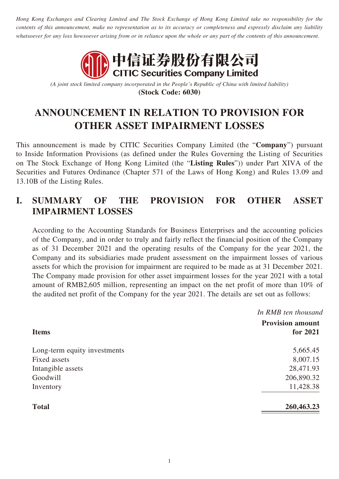*Hong Kong Exchanges and Clearing Limited and The Stock Exchange of Hong Kong Limited take no responsibility for the contents of this announcement, make no representation as to its accuracy or completeness and expressly disclaim any liability whatsoever for any loss howsoever arising from or in reliance upon the whole or any part of the contents of this announcement.*



*(A joint stock limited company incorporated in the People's Republic of China with limited liability)* **(Stock Code: 6030)**

# **ANNOUNCEMENT IN RELATION TO PROVISION FOR OTHER ASSET IMPAIRMENT LOSSES**

This announcement is made by CITIC Securities Company Limited (the "**Company**") pursuant to Inside Information Provisions (as defined under the Rules Governing the Listing of Securities on The Stock Exchange of Hong Kong Limited (the "**Listing Rules**")) under Part XIVA of the Securities and Futures Ordinance (Chapter 571 of the Laws of Hong Kong) and Rules 13.09 and 13.10B of the Listing Rules.

### **I. SUMMARY OF THE PROVISION FOR OTHER ASSET IMPAIRMENT LOSSES**

According to the Accounting Standards for Business Enterprises and the accounting policies of the Company, and in order to truly and fairly reflect the financial position of the Company as of 31 December 2021 and the operating results of the Company for the year 2021, the Company and its subsidiaries made prudent assessment on the impairment losses of various assets for which the provision for impairment are required to be made as at 31 December 2021. The Company made provision for other asset impairment losses for the year 2021 with a total amount of RMB2,605 million, representing an impact on the net profit of more than 10% of the audited net profit of the Company for the year 2021. The details are set out as follows:

| <b>Items</b>      | In RMB ten thousand<br><b>Provision amount</b> |
|-------------------|------------------------------------------------|
|                   |                                                |
|                   | Long-term equity investments                   |
| Fixed assets      | 8,007.15                                       |
| Intangible assets | 28,471.93                                      |
| Goodwill          | 206,890.32                                     |
| Inventory         | 11,428.38                                      |
| <b>Total</b>      | 260,463.23                                     |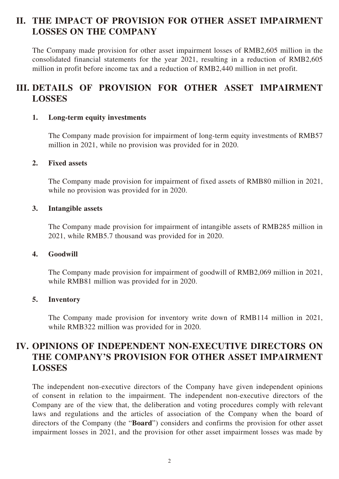### **II. THE IMPACT OF PROVISION FOR OTHER ASSET IMPAIRMENT LOSSES ON THE COMPANY**

The Company made provision for other asset impairment losses of RMB2,605 million in the consolidated financial statements for the year 2021, resulting in a reduction of RMB2,605 million in profit before income tax and a reduction of RMB2,440 million in net profit.

# **III. DETAILS OF PROVISION FOR OTHER ASSET IMPAIRMENT LOSSES**

#### **1. Long-term equity investments**

The Company made provision for impairment of long-term equity investments of RMB57 million in 2021, while no provision was provided for in 2020.

#### **2. Fixed assets**

The Company made provision for impairment of fixed assets of RMB80 million in 2021, while no provision was provided for in 2020.

#### **3. Intangible assets**

The Company made provision for impairment of intangible assets of RMB285 million in 2021, while RMB5.7 thousand was provided for in 2020.

#### **4. Goodwill**

The Company made provision for impairment of goodwill of RMB2,069 million in 2021, while RMB81 million was provided for in 2020.

#### **5. Inventory**

The Company made provision for inventory write down of RMB114 million in 2021, while RMB322 million was provided for in 2020.

### **IV. OPINIONS OF INDEPENDENT NON-EXECUTIVE DIRECTORS ON THE COMPANY'S PROVISION FOR OTHER ASSET IMPAIRMENT LOSSES**

The independent non-executive directors of the Company have given independent opinions of consent in relation to the impairment. The independent non-executive directors of the Company are of the view that, the deliberation and voting procedures comply with relevant laws and regulations and the articles of association of the Company when the board of directors of the Company (the "**Board**") considers and confirms the provision for other asset impairment losses in 2021, and the provision for other asset impairment losses was made by